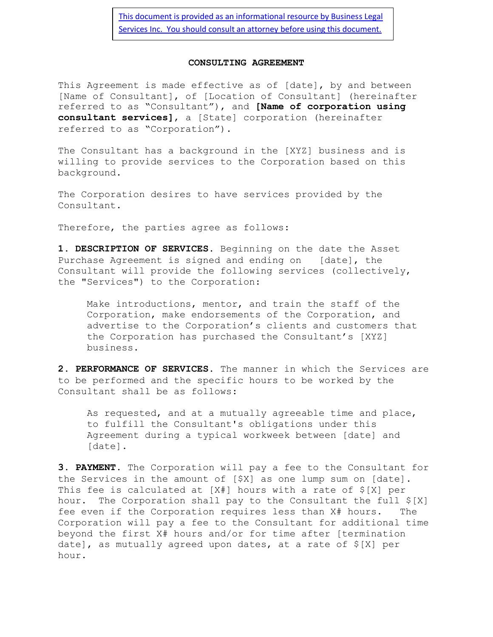[This document is provided as an informational resource by Business Legal](http://www.businesslegalservicesinc.com/)  [Services Inc. You should consult an attorney before using this document.](http://www.businesslegalservicesinc.com/)

## **CONSULTING AGREEMENT**

This Agreement is made effective as of [date], by and between [Name of Consultant], of [Location of Consultant] (hereinafter referred to as "Consultant"), and **[Name of corporation using consultant services]**, a [State] corporation (hereinafter referred to as "Corporation").

The Consultant has a background in the [XYZ] business and is willing to provide services to the Corporation based on this background.

The Corporation desires to have services provided by the Consultant.

Therefore, the parties agree as follows:

**1. DESCRIPTION OF SERVICES.** Beginning on the date the Asset Purchase Agreement is signed and ending on [date], the Consultant will provide the following services (collectively, the "Services") to the Corporation:

Make introductions, mentor, and train the staff of the Corporation, make endorsements of the Corporation, and advertise to the Corporation's clients and customers that the Corporation has purchased the Consultant's [XYZ] business.

**2. PERFORMANCE OF SERVICES.** The manner in which the Services are to be performed and the specific hours to be worked by the Consultant shall be as follows:

As requested, and at a mutually agreeable time and place, to fulfill the Consultant's obligations under this Agreement during a typical workweek between [date] and [date].

**3. PAYMENT.** The Corporation will pay a fee to the Consultant for the Services in the amount of [\$X] as one lump sum on [date]. This fee is calculated at [X#] hours with a rate of \$[X] per hour. The Corporation shall pay to the Consultant the full \$[X] fee even if the Corporation requires less than X# hours. The Corporation will pay a fee to the Consultant for additional time beyond the first X# hours and/or for time after [termination date], as mutually agreed upon dates, at a rate of \$[X] per hour.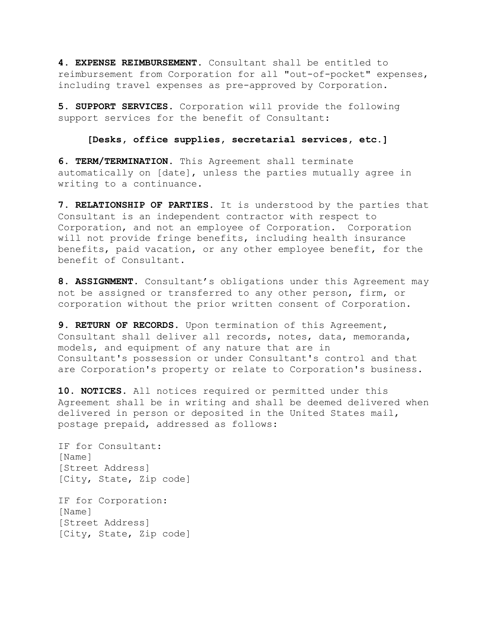**4. EXPENSE REIMBURSEMENT.** Consultant shall be entitled to reimbursement from Corporation for all "out-of-pocket" expenses, including travel expenses as pre-approved by Corporation.

**5. SUPPORT SERVICES.** Corporation will provide the following support services for the benefit of Consultant:

## **[Desks, office supplies, secretarial services, etc.]**

**6. TERM/TERMINATION.** This Agreement shall terminate automatically on [date], unless the parties mutually agree in writing to a continuance.

**7. RELATIONSHIP OF PARTIES.** It is understood by the parties that Consultant is an independent contractor with respect to Corporation, and not an employee of Corporation. Corporation will not provide fringe benefits, including health insurance benefits, paid vacation, or any other employee benefit, for the benefit of Consultant.

**8. ASSIGNMENT.** Consultant's obligations under this Agreement may not be assigned or transferred to any other person, firm, or corporation without the prior written consent of Corporation.

**9. RETURN OF RECORDS.** Upon termination of this Agreement, Consultant shall deliver all records, notes, data, memoranda, models, and equipment of any nature that are in Consultant's possession or under Consultant's control and that are Corporation's property or relate to Corporation's business.

**10. NOTICES.** All notices required or permitted under this Agreement shall be in writing and shall be deemed delivered when delivered in person or deposited in the United States mail, postage prepaid, addressed as follows:

IF for Consultant: [Name] [Street Address] [City, State, Zip code]

IF for Corporation: [Name] [Street Address] [City, State, Zip code]